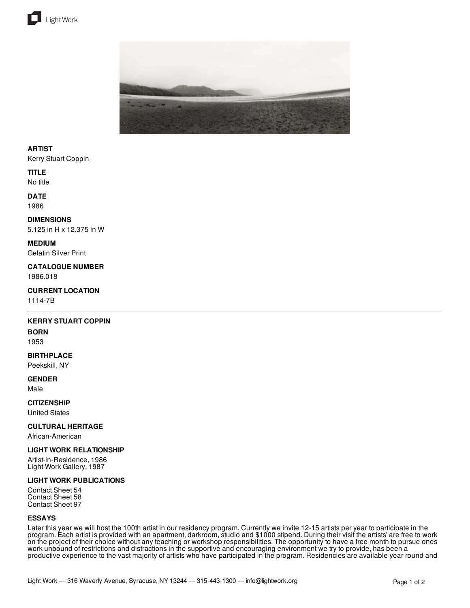



## **ARTIST**

Kerry Stuart Coppin

#### **TITLE**

No title

## **DATE**

1986

#### **DIMENSIONS**

5.125 in H x 12.375 in W

#### **MEDIUM**

Gelatin Silver Print

#### **CATALOGUE NUMBER** 1986.018

## **CURRENT LOCATION**

1114-7B

## **KERRY STUART COPPIN**

## **BORN**

1953

## **BIRTHPLACE**

Peekskill, NY

# **GENDER**

Male

## **CITIZENSHIP**

United States

## **CULTURAL HERITAGE**

African-American

## **LIGHT WORK RELATIONSHIP**

Artist-in-Residence, 1986 Light Work Gallery, 1987

## **LIGHT WORK PUBLICATIONS**

Contact Sheet 54 Contact Sheet 58 Contact Sheet 97

#### **ESSAYS**

Later this year we will host the 100th artist in our residency program. Currently we invite 12-15 artists per year to participate in the program. Each artist is provided with an apartment, darkroom, studio and \$1000 stipend. During their visit the artists' are free to work on the project of their choice without any teaching or workshop responsibilities. The opportunity to have a free month to pursue ones work unbound of restrictions and distractions in the supportive and encouraging environment we try to provide, has been a productive experience to the vast majority of artists who have participated in the program. Residencies are available year round and